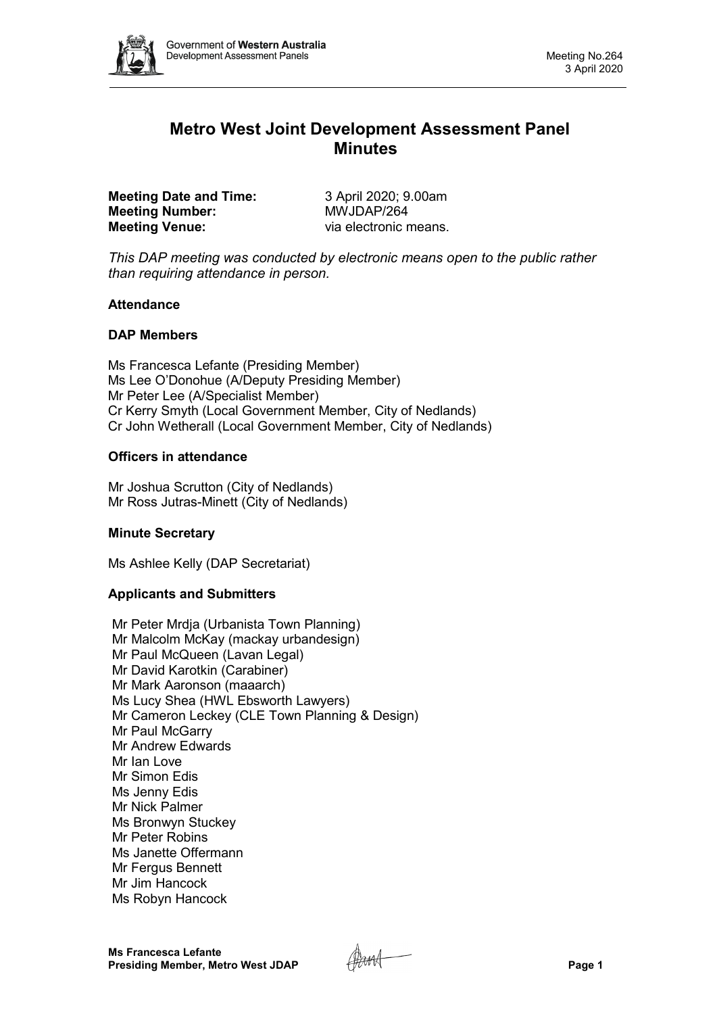

# **Metro West Joint Development Assessment Panel Minutes**

**Meeting Date and Time:** 3 April 2020; 9.00am<br> **Meeting Number:** MWJDAP/264 **Meeting Number: Meeting Venue:** via electronic means.

*This DAP meeting was conducted by electronic means open to the public rather than requiring attendance in person.*

### **Attendance**

### **DAP Members**

Ms Francesca Lefante (Presiding Member) Ms Lee O'Donohue (A/Deputy Presiding Member) Mr Peter Lee (A/Specialist Member) Cr Kerry Smyth (Local Government Member, City of Nedlands) Cr John Wetherall (Local Government Member, City of Nedlands)

### **Officers in attendance**

Mr Joshua Scrutton (City of Nedlands) Mr Ross Jutras-Minett (City of Nedlands)

# **Minute Secretary**

Ms Ashlee Kelly (DAP Secretariat)

# **Applicants and Submitters**

Mr Peter Mrdja (Urbanista Town Planning) Mr Malcolm McKay (mackay urbandesign) Mr Paul McQueen (Lavan Legal) Mr David Karotkin (Carabiner) Mr Mark Aaronson (maaarch) Ms Lucy Shea (HWL Ebsworth Lawyers) Mr Cameron Leckey (CLE Town Planning & Design) Mr Paul McGarry Mr Andrew Edwards Mr Ian Love Mr Simon Edis Ms Jenny Edis Mr Nick Palmer Ms Bronwyn Stuckey Mr Peter Robins Ms Janette Offermann Mr Fergus Bennett Mr Jim Hancock Ms Robyn Hancock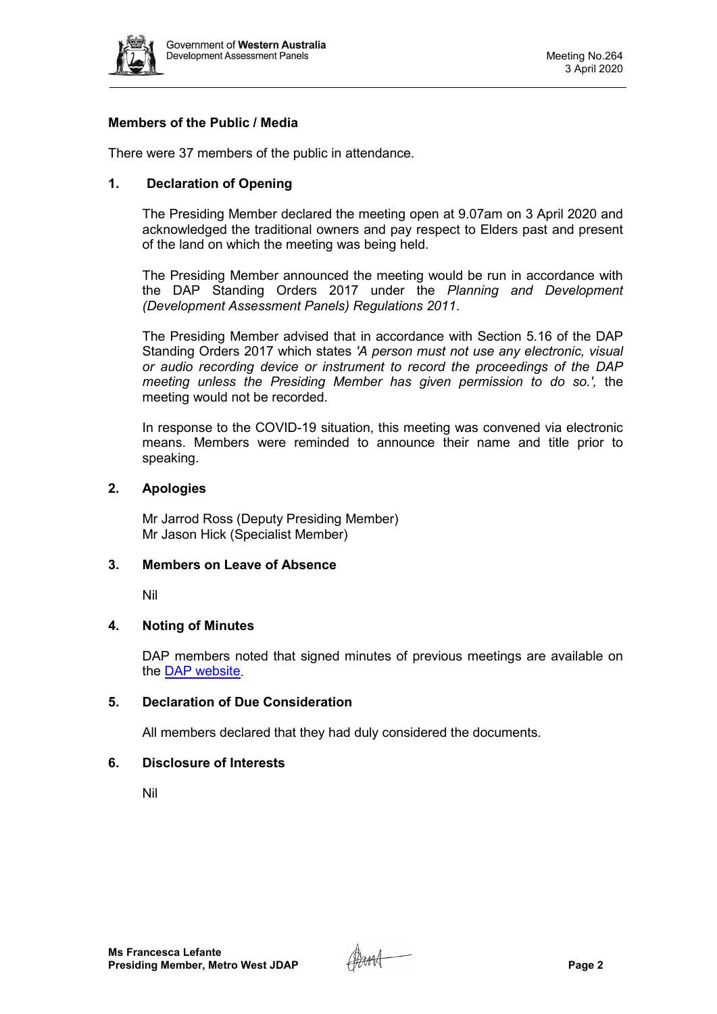

# **Members of the Public / Media**

There were 37 members of the public in attendance.

# **1. Declaration of Opening**

The Presiding Member declared the meeting open at 9.07am on 3 April 2020 and acknowledged the traditional owners and pay respect to Elders past and present of the land on which the meeting was being held.

The Presiding Member announced the meeting would be run in accordance with the DAP Standing Orders 2017 under the *Planning and Development (Development Assessment Panels) Regulations 2011*.

The Presiding Member advised that in accordance with Section 5.16 of the DAP Standing Orders 2017 which states *'A person must not use any electronic, visual or audio recording device or instrument to record the proceedings of the DAP meeting unless the Presiding Member has given permission to do so.',* the meeting would not be recorded.

In response to the COVID-19 situation, this meeting was convened via electronic means. Members were reminded to announce their name and title prior to speaking.

### **2. Apologies**

Mr Jarrod Ross (Deputy Presiding Member) Mr Jason Hick (Specialist Member)

# **3. Members on Leave of Absence**

Nil

# **4. Noting of Minutes**

DAP members noted that signed minutes of previous meetings are available on the [DAP website.](https://www.dplh.wa.gov.au/about/development-assessment-panels/daps-agendas-and-minutes)

# **5. Declaration of Due Consideration**

All members declared that they had duly considered the documents.

### **6. Disclosure of Interests**

Nil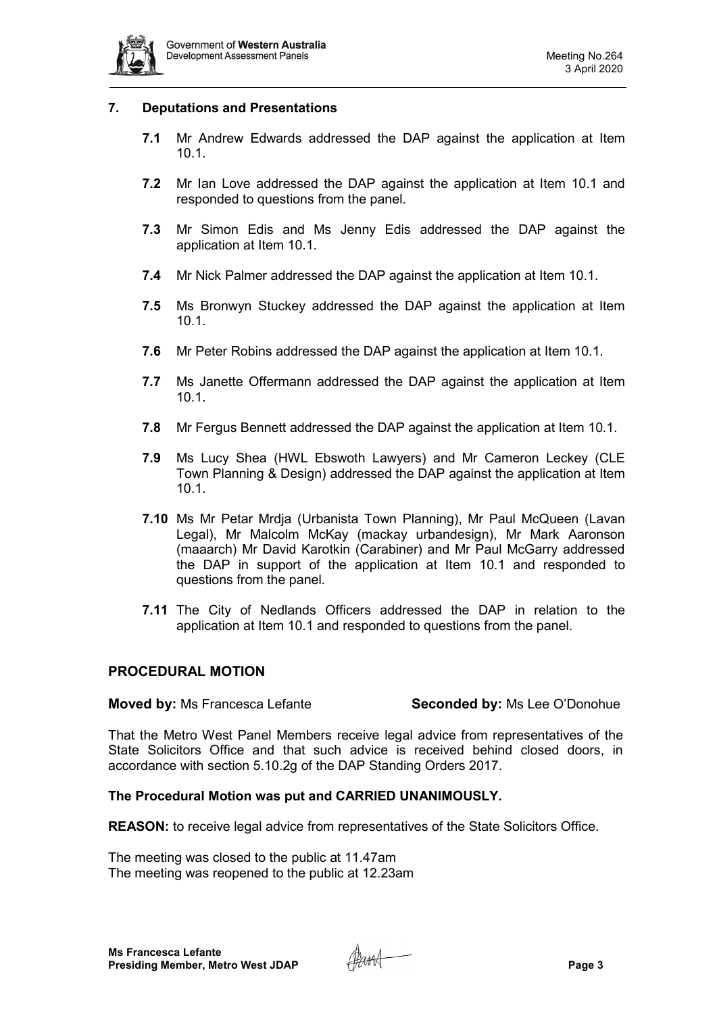

### **7. Deputations and Presentations**

- **7.1** Mr Andrew Edwards addressed the DAP against the application at Item 10.1.
- **7.2** Mr Ian Love addressed the DAP against the application at Item 10.1 and responded to questions from the panel.
- **7.3** Mr Simon Edis and Ms Jenny Edis addressed the DAP against the application at Item 10.1.
- **7.4** Mr Nick Palmer addressed the DAP against the application at Item 10.1.
- **7.5** Ms Bronwyn Stuckey addressed the DAP against the application at Item 10.1.
- **7.6** Mr Peter Robins addressed the DAP against the application at Item 10.1.
- **7.7** Ms Janette Offermann addressed the DAP against the application at Item 10.1.
- **7.8** Mr Fergus Bennett addressed the DAP against the application at Item 10.1.
- **7.9** Ms Lucy Shea (HWL Ebswoth Lawyers) and Mr Cameron Leckey (CLE Town Planning & Design) addressed the DAP against the application at Item 10.1.
- **7.10** Ms Mr Petar Mrdja (Urbanista Town Planning), Mr Paul McQueen (Lavan Legal), Mr Malcolm McKay (mackay urbandesign), Mr Mark Aaronson (maaarch) Mr David Karotkin (Carabiner) and Mr Paul McGarry addressed the DAP in support of the application at Item 10.1 and responded to questions from the panel.
- **7.11** The City of Nedlands Officers addressed the DAP in relation to the application at Item 10.1 and responded to questions from the panel.

#### **PROCEDURAL MOTION**

#### **Moved by:** Ms Francesca Lefante **Seconded by:** Ms Lee O'Donohue

That the Metro West Panel Members receive legal advice from representatives of the State Solicitors Office and that such advice is received behind closed doors, in accordance with section 5.10.2g of the DAP Standing Orders 2017.

#### **The Procedural Motion was put and CARRIED UNANIMOUSLY.**

**REASON:** to receive legal advice from representatives of the State Solicitors Office.

The meeting was closed to the public at 11.47am The meeting was reopened to the public at 12.23am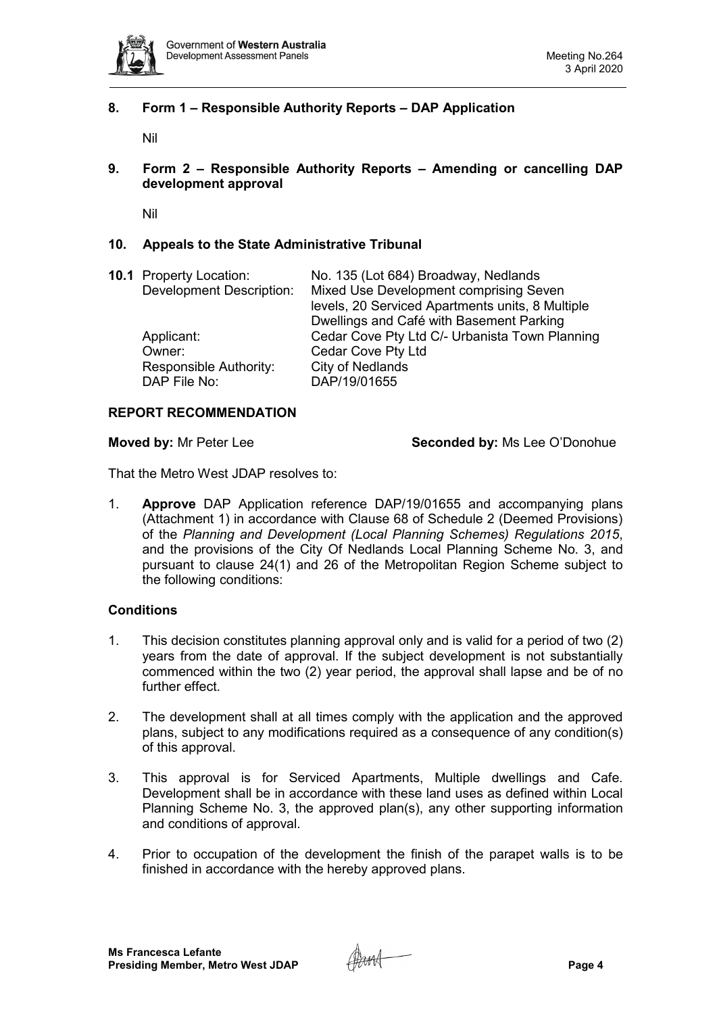

# **8. Form 1 – Responsible Authority Reports – DAP Application**

Nil

**9. Form 2 – Responsible Authority Reports – Amending or cancelling DAP development approval**

Nil

# **10. Appeals to the State Administrative Tribunal**

| <b>10.1 Property Location:</b><br><b>Development Description:</b> | No. 135 (Lot 684) Broadway, Nedlands<br>Mixed Use Development comprising Seven<br>levels, 20 Serviced Apartments units, 8 Multiple<br>Dwellings and Café with Basement Parking |
|-------------------------------------------------------------------|--------------------------------------------------------------------------------------------------------------------------------------------------------------------------------|
| Applicant:<br>Owner:<br>Responsible Authority:<br>DAP File No:    | Cedar Cove Pty Ltd C/- Urbanista Town Planning<br>Cedar Cove Pty Ltd<br>City of Nedlands<br>DAP/19/01655                                                                       |

### **REPORT RECOMMENDATION**

**Moved by:** Mr Peter Lee **Seconded by:** Ms Lee O'Donohue

That the Metro West JDAP resolves to:

1. **Approve** DAP Application reference DAP/19/01655 and accompanying plans (Attachment 1) in accordance with Clause 68 of Schedule 2 (Deemed Provisions) of the *Planning and Development (Local Planning Schemes) Regulations 2015*, and the provisions of the City Of Nedlands Local Planning Scheme No. 3, and pursuant to clause 24(1) and 26 of the Metropolitan Region Scheme subject to the following conditions:

# **Conditions**

- 1. This decision constitutes planning approval only and is valid for a period of two (2) years from the date of approval. If the subject development is not substantially commenced within the two (2) year period, the approval shall lapse and be of no further effect.
- 2. The development shall at all times comply with the application and the approved plans, subject to any modifications required as a consequence of any condition(s) of this approval.
- 3. This approval is for Serviced Apartments, Multiple dwellings and Cafe. Development shall be in accordance with these land uses as defined within Local Planning Scheme No. 3, the approved plan(s), any other supporting information and conditions of approval.
- 4. Prior to occupation of the development the finish of the parapet walls is to be finished in accordance with the hereby approved plans.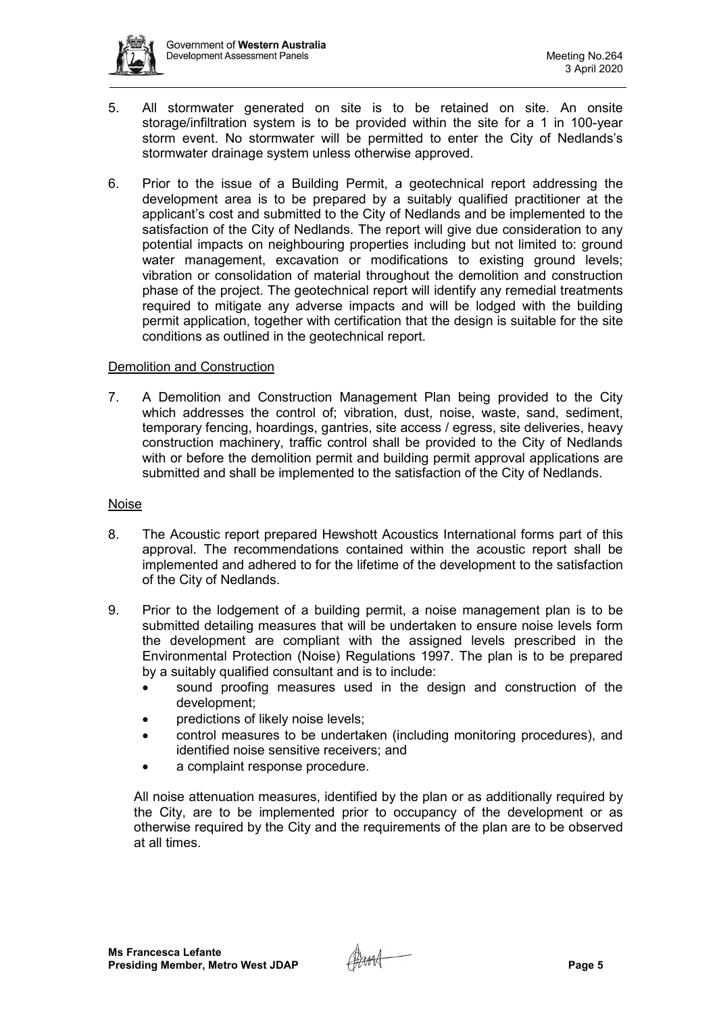

- 5. All stormwater generated on site is to be retained on site. An onsite storage/infiltration system is to be provided within the site for a 1 in 100-year storm event. No stormwater will be permitted to enter the City of Nedlands's stormwater drainage system unless otherwise approved.
- 6. Prior to the issue of a Building Permit, a geotechnical report addressing the development area is to be prepared by a suitably qualified practitioner at the applicant's cost and submitted to the City of Nedlands and be implemented to the satisfaction of the City of Nedlands. The report will give due consideration to any potential impacts on neighbouring properties including but not limited to: ground water management, excavation or modifications to existing ground levels; vibration or consolidation of material throughout the demolition and construction phase of the project. The geotechnical report will identify any remedial treatments required to mitigate any adverse impacts and will be lodged with the building permit application, together with certification that the design is suitable for the site conditions as outlined in the geotechnical report.

#### Demolition and Construction

7. A Demolition and Construction Management Plan being provided to the City which addresses the control of; vibration, dust, noise, waste, sand, sediment, temporary fencing, hoardings, gantries, site access / egress, site deliveries, heavy construction machinery, traffic control shall be provided to the City of Nedlands with or before the demolition permit and building permit approval applications are submitted and shall be implemented to the satisfaction of the City of Nedlands.

#### Noise

- 8. The Acoustic report prepared Hewshott Acoustics International forms part of this approval. The recommendations contained within the acoustic report shall be implemented and adhered to for the lifetime of the development to the satisfaction of the City of Nedlands.
- 9. Prior to the lodgement of a building permit, a noise management plan is to be submitted detailing measures that will be undertaken to ensure noise levels form the development are compliant with the assigned levels prescribed in the Environmental Protection (Noise) Regulations 1997. The plan is to be prepared by a suitably qualified consultant and is to include:
	- sound proofing measures used in the design and construction of the development;
	- predictions of likely noise levels;
	- control measures to be undertaken (including monitoring procedures), and identified noise sensitive receivers; and
	- a complaint response procedure.

All noise attenuation measures, identified by the plan or as additionally required by the City, are to be implemented prior to occupancy of the development or as otherwise required by the City and the requirements of the plan are to be observed at all times.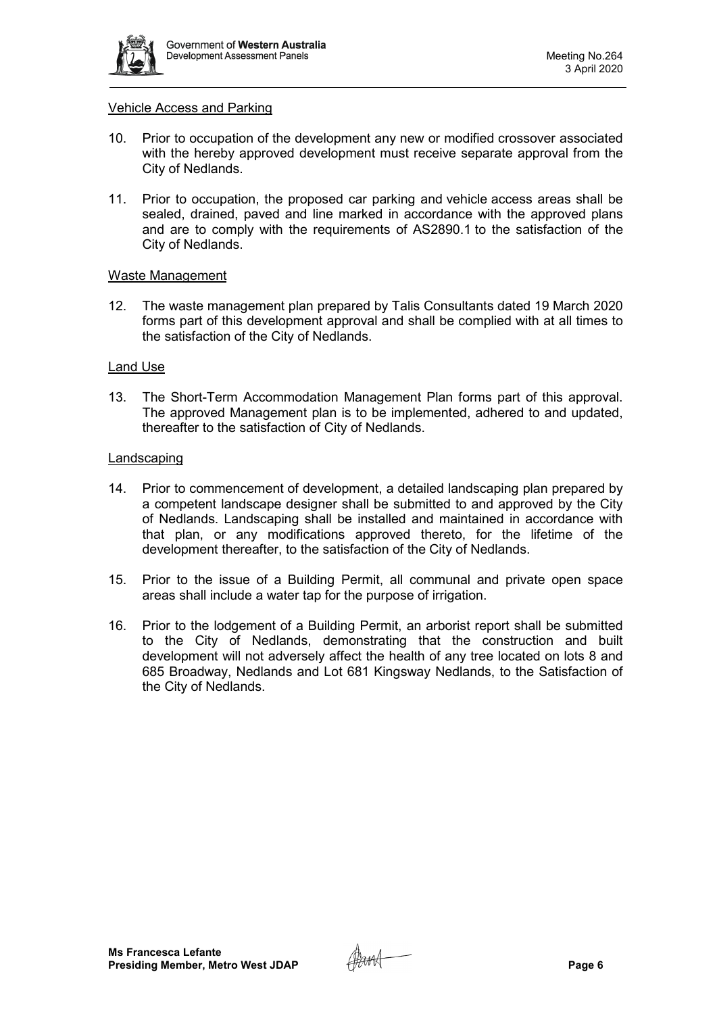

#### Vehicle Access and Parking

- 10. Prior to occupation of the development any new or modified crossover associated with the hereby approved development must receive separate approval from the City of Nedlands.
- 11. Prior to occupation, the proposed car parking and vehicle access areas shall be sealed, drained, paved and line marked in accordance with the approved plans and are to comply with the requirements of AS2890.1 to the satisfaction of the City of Nedlands.

# Waste Management

12. The waste management plan prepared by Talis Consultants dated 19 March 2020 forms part of this development approval and shall be complied with at all times to the satisfaction of the City of Nedlands.

### Land Use

13. The Short-Term Accommodation Management Plan forms part of this approval. The approved Management plan is to be implemented, adhered to and updated, thereafter to the satisfaction of City of Nedlands.

### Landscaping

- 14. Prior to commencement of development, a detailed landscaping plan prepared by a competent landscape designer shall be submitted to and approved by the City of Nedlands. Landscaping shall be installed and maintained in accordance with that plan, or any modifications approved thereto, for the lifetime of the development thereafter, to the satisfaction of the City of Nedlands.
- 15. Prior to the issue of a Building Permit, all communal and private open space areas shall include a water tap for the purpose of irrigation.
- 16. Prior to the lodgement of a Building Permit, an arborist report shall be submitted to the City of Nedlands, demonstrating that the construction and built development will not adversely affect the health of any tree located on lots 8 and 685 Broadway, Nedlands and Lot 681 Kingsway Nedlands, to the Satisfaction of the City of Nedlands.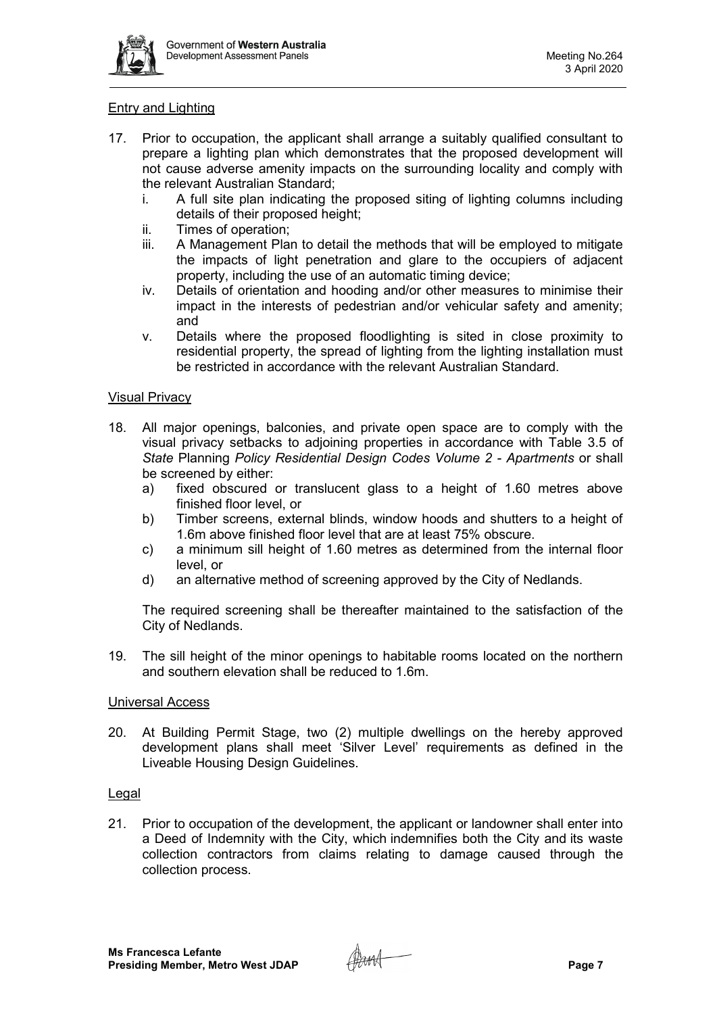

### Entry and Lighting

- 17. Prior to occupation, the applicant shall arrange a suitably qualified consultant to prepare a lighting plan which demonstrates that the proposed development will not cause adverse amenity impacts on the surrounding locality and comply with the relevant Australian Standard;
	- i. A full site plan indicating the proposed siting of lighting columns including details of their proposed height;
	- ii. Times of operation;<br>iii. A Management Plai
	- A Management Plan to detail the methods that will be employed to mitigate the impacts of light penetration and glare to the occupiers of adjacent property, including the use of an automatic timing device;
	- iv. Details of orientation and hooding and/or other measures to minimise their impact in the interests of pedestrian and/or vehicular safety and amenity; and
	- v. Details where the proposed floodlighting is sited in close proximity to residential property, the spread of lighting from the lighting installation must be restricted in accordance with the relevant Australian Standard.

### Visual Privacy

- 18. All major openings, balconies, and private open space are to comply with the visual privacy setbacks to adjoining properties in accordance with Table 3.5 of *State* Planning *Policy Residential Design Codes Volume 2 - Apartments* or shall be screened by either:
	- a) fixed obscured or translucent glass to a height of 1.60 metres above finished floor level, or
	- b) Timber screens, external blinds, window hoods and shutters to a height of 1.6m above finished floor level that are at least 75% obscure.
	- c) a minimum sill height of 1.60 metres as determined from the internal floor level, or
	- d) an alternative method of screening approved by the City of Nedlands.

The required screening shall be thereafter maintained to the satisfaction of the City of Nedlands.

19. The sill height of the minor openings to habitable rooms located on the northern and southern elevation shall be reduced to 1.6m.

#### Universal Access

20. At Building Permit Stage, two (2) multiple dwellings on the hereby approved development plans shall meet 'Silver Level' requirements as defined in the Liveable Housing Design Guidelines.

#### Legal

21. Prior to occupation of the development, the applicant or landowner shall enter into a Deed of Indemnity with the City, which indemnifies both the City and its waste collection contractors from claims relating to damage caused through the collection process.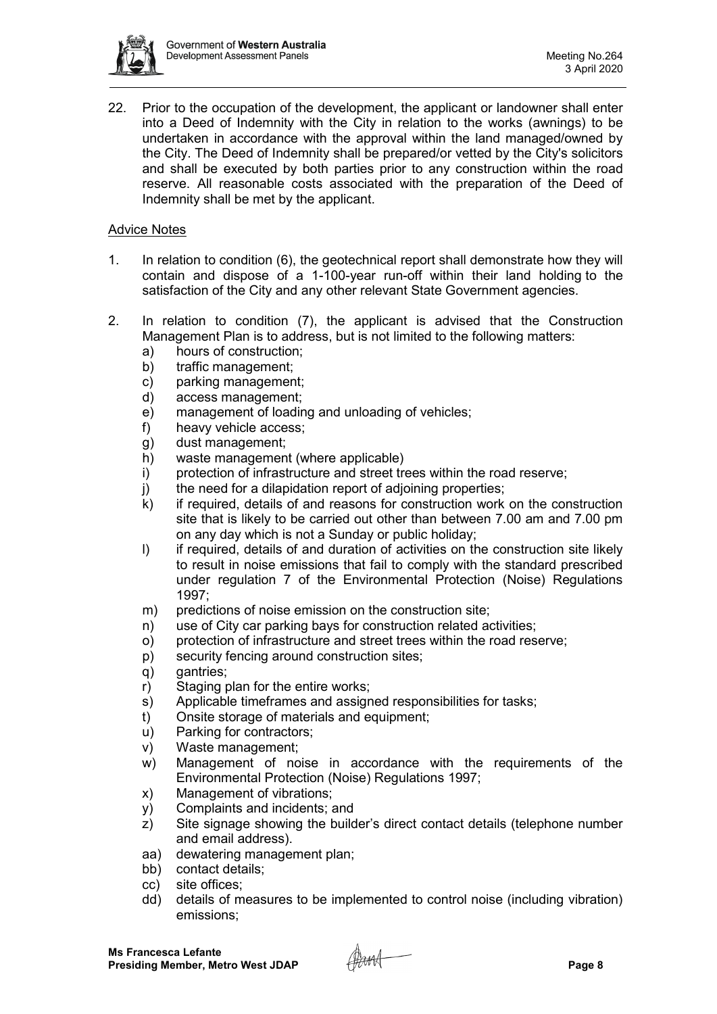

22. Prior to the occupation of the development, the applicant or landowner shall enter into a Deed of Indemnity with the City in relation to the works (awnings) to be undertaken in accordance with the approval within the land managed/owned by the City. The Deed of Indemnity shall be prepared/or vetted by the City's solicitors and shall be executed by both parties prior to any construction within the road reserve. All reasonable costs associated with the preparation of the Deed of Indemnity shall be met by the applicant.

# Advice Notes

- 1. In relation to condition (6), the geotechnical report shall demonstrate how they will contain and dispose of a 1-100-year run-off within their land holding to the satisfaction of the City and any other relevant State Government agencies.
- 2. In relation to condition (7), the applicant is advised that the Construction Management Plan is to address, but is not limited to the following matters:
	- a) hours of construction;
	- b) traffic management;
	- c) parking management;
	- d) access management;
	- e) management of loading and unloading of vehicles;
	- f) heavy vehicle access;
	- g) dust management;<br>h) waste managemen
	- waste management (where applicable)
	- i) protection of infrastructure and street trees within the road reserve;
	- j) the need for a dilapidation report of adjoining properties;
	- k) if required, details of and reasons for construction work on the construction site that is likely to be carried out other than between 7.00 am and 7.00 pm on any day which is not a Sunday or public holiday;
	- I) if required, details of and duration of activities on the construction site likely to result in noise emissions that fail to comply with the standard prescribed under regulation 7 of the Environmental Protection (Noise) Regulations 1997;
	- m) predictions of noise emission on the construction site;
	- n) use of City car parking bays for construction related activities;
	- o) protection of infrastructure and street trees within the road reserve;
	- p) security fencing around construction sites;
	- q) gantries;
	- r) Staging plan for the entire works;
	- s) Applicable timeframes and assigned responsibilities for tasks;
	- t) Onsite storage of materials and equipment;
	- u) Parking for contractors;
	- v) Waste management;
	- w) Management of noise in accordance with the requirements of the Environmental Protection (Noise) Regulations 1997;
	- x) Management of vibrations;
	- y) Complaints and incidents; and
	- z) Site signage showing the builder's direct contact details (telephone number and email address).
	- aa) dewatering management plan;
	- bb) contact details;
	- cc) site offices;
	- dd) details of measures to be implemented to control noise (including vibration) emissions;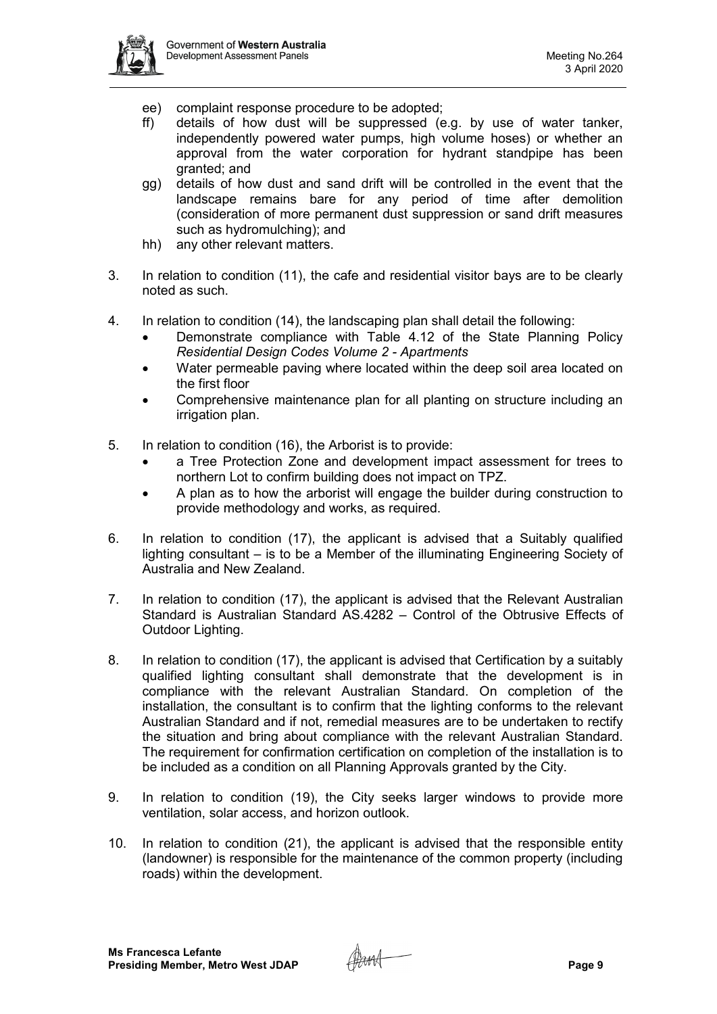

- ee) complaint response procedure to be adopted;
- ff) details of how dust will be suppressed (e.g. by use of water tanker, independently powered water pumps, high volume hoses) or whether an approval from the water corporation for hydrant standpipe has been granted; and
- gg) details of how dust and sand drift will be controlled in the event that the landscape remains bare for any period of time after demolition (consideration of more permanent dust suppression or sand drift measures such as hydromulching); and
- hh) any other relevant matters.
- 3. In relation to condition (11), the cafe and residential visitor bays are to be clearly noted as such.
- 4. In relation to condition (14), the landscaping plan shall detail the following:
	- Demonstrate compliance with Table 4.12 of the State Planning Policy *Residential Design Codes Volume 2 - Apartments*
	- Water permeable paving where located within the deep soil area located on the first floor
	- Comprehensive maintenance plan for all planting on structure including an irrigation plan.
- 5. In relation to condition (16), the Arborist is to provide:
	- a Tree Protection Zone and development impact assessment for trees to northern Lot to confirm building does not impact on TPZ.
	- A plan as to how the arborist will engage the builder during construction to provide methodology and works, as required.
- 6. In relation to condition (17), the applicant is advised that a Suitably qualified lighting consultant – is to be a Member of the illuminating Engineering Society of Australia and New Zealand.
- 7. In relation to condition (17), the applicant is advised that the Relevant Australian Standard is Australian Standard AS.4282 – Control of the Obtrusive Effects of Outdoor Lighting.
- 8. In relation to condition (17), the applicant is advised that Certification by a suitably qualified lighting consultant shall demonstrate that the development is in compliance with the relevant Australian Standard. On completion of the installation, the consultant is to confirm that the lighting conforms to the relevant Australian Standard and if not, remedial measures are to be undertaken to rectify the situation and bring about compliance with the relevant Australian Standard. The requirement for confirmation certification on completion of the installation is to be included as a condition on all Planning Approvals granted by the City.
- 9. In relation to condition (19), the City seeks larger windows to provide more ventilation, solar access, and horizon outlook.
- 10. In relation to condition (21), the applicant is advised that the responsible entity (landowner) is responsible for the maintenance of the common property (including roads) within the development.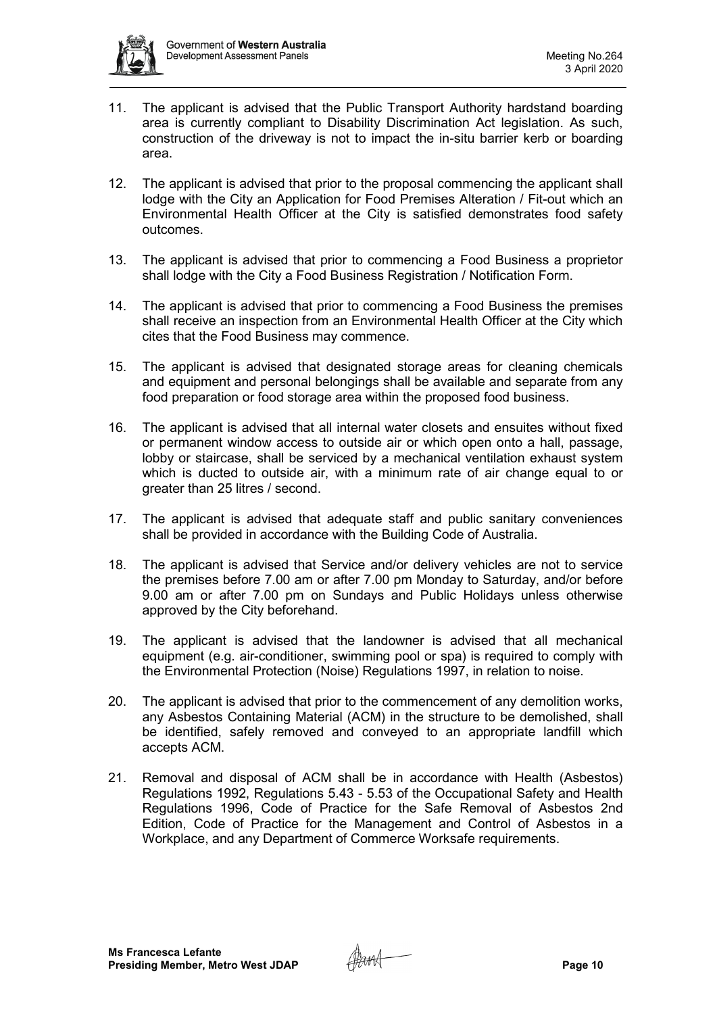

- 11. The applicant is advised that the Public Transport Authority hardstand boarding area is currently compliant to Disability Discrimination Act legislation. As such, construction of the driveway is not to impact the in-situ barrier kerb or boarding area.
- 12. The applicant is advised that prior to the proposal commencing the applicant shall lodge with the City an Application for Food Premises Alteration / Fit-out which an Environmental Health Officer at the City is satisfied demonstrates food safety outcomes.
- 13. The applicant is advised that prior to commencing a Food Business a proprietor shall lodge with the City a Food Business Registration / Notification Form.
- 14. The applicant is advised that prior to commencing a Food Business the premises shall receive an inspection from an Environmental Health Officer at the City which cites that the Food Business may commence.
- 15. The applicant is advised that designated storage areas for cleaning chemicals and equipment and personal belongings shall be available and separate from any food preparation or food storage area within the proposed food business.
- 16. The applicant is advised that all internal water closets and ensuites without fixed or permanent window access to outside air or which open onto a hall, passage, lobby or staircase, shall be serviced by a mechanical ventilation exhaust system which is ducted to outside air, with a minimum rate of air change equal to or greater than 25 litres / second.
- 17. The applicant is advised that adequate staff and public sanitary conveniences shall be provided in accordance with the Building Code of Australia.
- 18. The applicant is advised that Service and/or delivery vehicles are not to service the premises before 7.00 am or after 7.00 pm Monday to Saturday, and/or before 9.00 am or after 7.00 pm on Sundays and Public Holidays unless otherwise approved by the City beforehand.
- 19. The applicant is advised that the landowner is advised that all mechanical equipment (e.g. air-conditioner, swimming pool or spa) is required to comply with the Environmental Protection (Noise) Regulations 1997, in relation to noise.
- 20. The applicant is advised that prior to the commencement of any demolition works, any Asbestos Containing Material (ACM) in the structure to be demolished, shall be identified, safely removed and conveyed to an appropriate landfill which accepts ACM.
- 21. Removal and disposal of ACM shall be in accordance with Health (Asbestos) Regulations 1992, Regulations 5.43 - 5.53 of the Occupational Safety and Health Regulations 1996, Code of Practice for the Safe Removal of Asbestos 2nd Edition, Code of Practice for the Management and Control of Asbestos in a Workplace, and any Department of Commerce Worksafe requirements.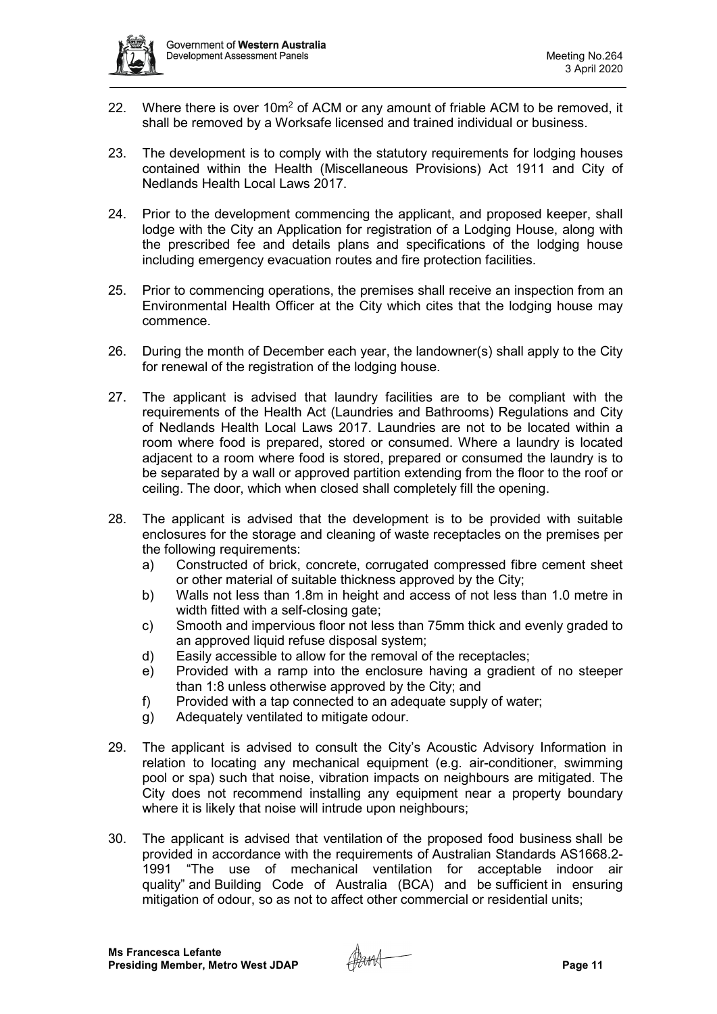

- 22. Where there is over  $10m^2$  of ACM or any amount of friable ACM to be removed, it shall be removed by a Worksafe licensed and trained individual or business.
- 23. The development is to comply with the statutory requirements for lodging houses contained within the Health (Miscellaneous Provisions) Act 1911 and City of Nedlands Health Local Laws 2017.
- 24. Prior to the development commencing the applicant, and proposed keeper, shall lodge with the City an Application for registration of a Lodging House, along with the prescribed fee and details plans and specifications of the lodging house including emergency evacuation routes and fire protection facilities.
- 25. Prior to commencing operations, the premises shall receive an inspection from an Environmental Health Officer at the City which cites that the lodging house may commence.
- 26. During the month of December each year, the landowner(s) shall apply to the City for renewal of the registration of the lodging house.
- 27. The applicant is advised that laundry facilities are to be compliant with the requirements of the Health Act (Laundries and Bathrooms) Regulations and City of Nedlands Health Local Laws 2017. Laundries are not to be located within a room where food is prepared, stored or consumed. Where a laundry is located adjacent to a room where food is stored, prepared or consumed the laundry is to be separated by a wall or approved partition extending from the floor to the roof or ceiling. The door, which when closed shall completely fill the opening.
- 28. The applicant is advised that the development is to be provided with suitable enclosures for the storage and cleaning of waste receptacles on the premises per the following requirements:
	- a) Constructed of brick, concrete, corrugated compressed fibre cement sheet or other material of suitable thickness approved by the City;
	- b) Walls not less than 1.8m in height and access of not less than 1.0 metre in width fitted with a self-closing gate;
	- c) Smooth and impervious floor not less than 75mm thick and evenly graded to an approved liquid refuse disposal system;
	- d) Easily accessible to allow for the removal of the receptacles;
	- e) Provided with a ramp into the enclosure having a gradient of no steeper than 1:8 unless otherwise approved by the City; and
	- f) Provided with a tap connected to an adequate supply of water;
	- g) Adequately ventilated to mitigate odour.
- 29. The applicant is advised to consult the City's Acoustic Advisory Information in relation to locating any mechanical equipment (e.g. air-conditioner, swimming pool or spa) such that noise, vibration impacts on neighbours are mitigated. The City does not recommend installing any equipment near a property boundary where it is likely that noise will intrude upon neighbours;
- 30. The applicant is advised that ventilation of the proposed food business shall be provided in accordance with the requirements of Australian Standards AS1668.2- 1991 "The use of mechanical ventilation for acceptable indoor air quality" and Building Code of Australia (BCA) and be sufficient in ensuring mitigation of odour, so as not to affect other commercial or residential units;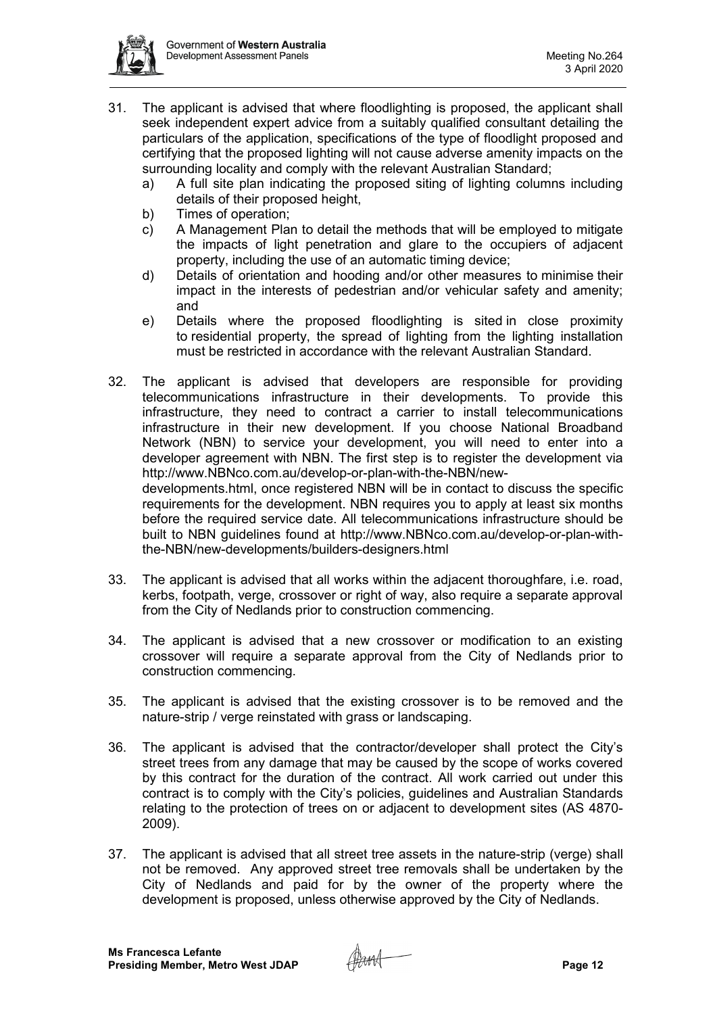

- 31. The applicant is advised that where floodlighting is proposed, the applicant shall seek independent expert advice from a suitably qualified consultant detailing the particulars of the application, specifications of the type of floodlight proposed and certifying that the proposed lighting will not cause adverse amenity impacts on the surrounding locality and comply with the relevant Australian Standard;
	- a) A full site plan indicating the proposed siting of lighting columns including details of their proposed height,
	- b) Times of operation;
	- c) A Management Plan to detail the methods that will be employed to mitigate the impacts of light penetration and glare to the occupiers of adjacent property, including the use of an automatic timing device;
	- d) Details of orientation and hooding and/or other measures to minimise their impact in the interests of pedestrian and/or vehicular safety and amenity; and
	- e) Details where the proposed floodlighting is sited in close proximity to residential property, the spread of lighting from the lighting installation must be restricted in accordance with the relevant Australian Standard.
- 32. The applicant is advised that developers are responsible for providing telecommunications infrastructure in their developments. To provide this infrastructure, they need to contract a carrier to install telecommunications infrastructure in their new development. If you choose National Broadband Network (NBN) to service your development, you will need to enter into a developer agreement with NBN. The first step is to register the development via [http://www.NBNco.com.au/develop-or-plan-with-the-NBN/new](http://www.nbnco.com.au/develop-or-plan-with-the-nbn/new-developments.html)[developments.html,](http://www.nbnco.com.au/develop-or-plan-with-the-nbn/new-developments.html) once registered NBN will be in contact to discuss the specific requirements for the development. NBN requires you to apply at least six months before the required service date. All telecommunications infrastructure should be built to NBN guidelines found at [http://www.NBNco.com.au/develop-or-plan-with](http://www.nbnco.com.au/develop-or-plan-with-the-NBN/new-developments/builders-designers.html)[the-NBN/new-developments/builders-designers.html](http://www.nbnco.com.au/develop-or-plan-with-the-NBN/new-developments/builders-designers.html)
- 33. The applicant is advised that all works within the adjacent thoroughfare, i.e. road, kerbs, footpath, verge, crossover or right of way, also require a separate approval from the City of Nedlands prior to construction commencing.
- 34. The applicant is advised that a new crossover or modification to an existing crossover will require a separate approval from the City of Nedlands prior to construction commencing.
- 35. The applicant is advised that the existing crossover is to be removed and the nature-strip / verge reinstated with grass or landscaping.
- 36. The applicant is advised that the contractor/developer shall protect the City's street trees from any damage that may be caused by the scope of works covered by this contract for the duration of the contract. All work carried out under this contract is to comply with the City's policies, guidelines and Australian Standards relating to the protection of trees on or adjacent to development sites (AS 4870- 2009).
- 37. The applicant is advised that all street tree assets in the nature-strip (verge) shall not be removed. Any approved street tree removals shall be undertaken by the City of Nedlands and paid for by the owner of the property where the development is proposed, unless otherwise approved by the City of Nedlands.